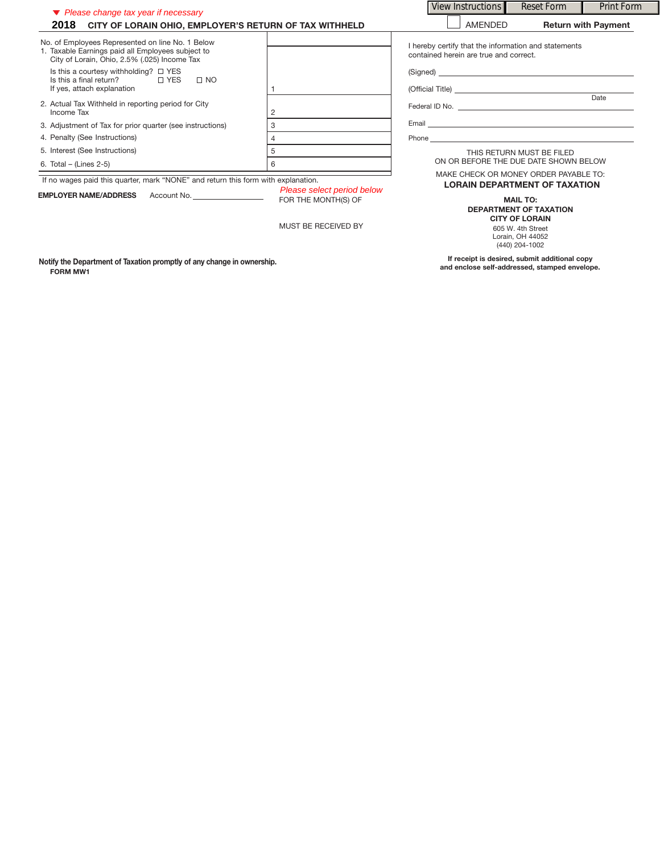| ▼ Please change tax year if necessary<br>2018 CITY OF LORAIN OHIO, EMPLOYER'S RETURN OF TAX WITHHELD                                                  |                                            | View Instructions                                                                                                                                                                                                                    | Reset Form                                                                                                                           | <b>Print Form</b> |
|-------------------------------------------------------------------------------------------------------------------------------------------------------|--------------------------------------------|--------------------------------------------------------------------------------------------------------------------------------------------------------------------------------------------------------------------------------------|--------------------------------------------------------------------------------------------------------------------------------------|-------------------|
|                                                                                                                                                       |                                            | <b>AMENDED</b><br><b>Return with Payment</b>                                                                                                                                                                                         |                                                                                                                                      |                   |
| No. of Employees Represented on line No. 1 Below<br>1. Taxable Earnings paid all Employees subject to<br>City of Lorain, Ohio, 2.5% (.025) Income Tax |                                            | I hereby certify that the information and statements<br>contained herein are true and correct.                                                                                                                                       |                                                                                                                                      |                   |
| Is this a courtesy withholding? $\Box$ YES<br>Is this a final return?<br>□ YES<br>$\Box$ NO<br>If yes, attach explanation                             |                                            |                                                                                                                                                                                                                                      |                                                                                                                                      |                   |
| 2. Actual Tax Withheld in reporting period for City<br>Income Tax                                                                                     |                                            |                                                                                                                                                                                                                                      |                                                                                                                                      | Date              |
| 3. Adjustment of Tax for prior quarter (see instructions)                                                                                             | 3                                          | Email <b>Executive Contract Contract Contract Contract Contract Contract Contract Contract Contract Contract Contract Contract Contract Contract Contract Contract Contract Contract Contract Contract Contract Contract Contrac</b> |                                                                                                                                      |                   |
| 4. Penalty (See Instructions)                                                                                                                         | 4                                          | Phone experience and the state of the state of the state of the state of the state of the state of the state of the state of the state of the state of the state of the state of the state of the state of the state of the st       |                                                                                                                                      |                   |
| 5. Interest (See Instructions)<br>6. Total – (Lines $2-5$ )                                                                                           | 5<br>6                                     | THIS RETURN MUST BE FILED<br>ON OR BEFORE THE DUE DATE SHOWN BELOW                                                                                                                                                                   |                                                                                                                                      |                   |
| If no wages paid this quarter, mark "NONE" and return this form with explanation.<br>Please select period below                                       |                                            | MAKE CHECK OR MONEY ORDER PAYABLE TO:<br><b>LORAIN DEPARTMENT OF TAXATION</b>                                                                                                                                                        |                                                                                                                                      |                   |
| EMPLOYER NAME/ADDRESS Account No.                                                                                                                     | FOR THE MONTH(S) OF<br>MUST BE RECEIVED BY | $\blacksquare$                                                                                                                                                                                                                       | <b>MAIL TO:</b><br><b>DEPARTMENT OF TAXATION</b><br><b>CITY OF LORAIN</b><br>605 W. 4th Street<br>Lorain, OH 44052<br>(440) 204-1002 |                   |
| Notify the Department of Taxation promptly of any change in ownership.                                                                                |                                            | If receipt is desired, submit additional copy                                                                                                                                                                                        |                                                                                                                                      |                   |

**FORM MW1**

**If receipt is desired, submit additional copy and enclose self-addressed, stamped envelope.**